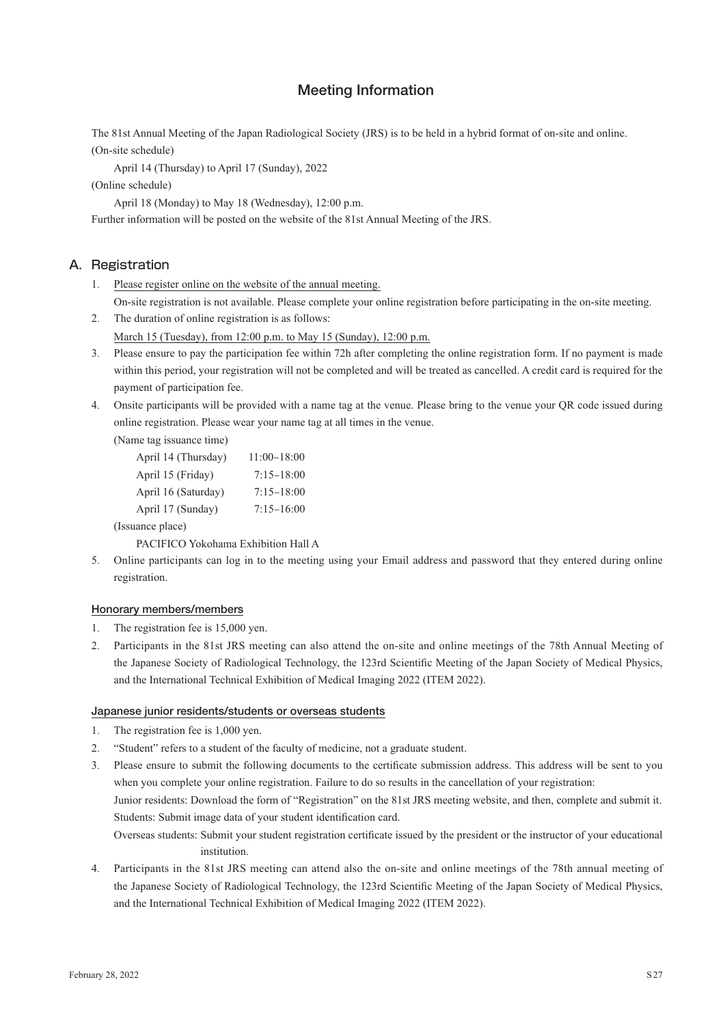# Meeting Information

The 81st Annual Meeting of the Japan Radiological Society (JRS) is to be held in a hybrid format of on-site and online. (On-site schedule)

April 14 (Thursday) to April 17 (Sunday), 2022

(Online schedule)

April 18 (Monday) to May 18 (Wednesday), 12:00 p.m.

Further information will be posted on the website of the 81st Annual Meeting of the JRS.

# A. Registration

- 1. Please register online on the website of the annual meeting. On-site registration is not available. Please complete your online registration before participating in the on-site meeting.
- 2. The duration of online registration is as follows: March 15 (Tuesday), from 12:00 p.m. to May 15 (Sunday), 12:00 p.m.
- 3. Please ensure to pay the participation fee within 72h after completing the online registration form. If no payment is made within this period, your registration will not be completed and will be treated as cancelled. A credit card is required for the payment of participation fee.
- 4. Onsite participants will be provided with a name tag at the venue. Please bring to the venue your QR code issued during online registration. Please wear your name tag at all times in the venue.

(Name tag issuance time)

| April 14 (Thursday) | $11:00-18:00$  |
|---------------------|----------------|
| April 15 (Friday)   | $7:15 - 18:00$ |
| April 16 (Saturday) | $7:15 - 18:00$ |
| April 17 (Sunday)   | $7:15 - 16:00$ |
| (Issuance place)    |                |

PACIFICO Yokohama Exhibition Hall A

5. Online participants can log in to the meeting using your Email address and password that they entered during online registration.

### Honorary members/members

- 1. The registration fee is 15,000 yen.
- 2. Participants in the 81st JRS meeting can also attend the on-site and online meetings of the 78th Annual Meeting of the Japanese Society of Radiological Technology, the 123rd Scientific Meeting of the Japan Society of Medical Physics, and the International Technical Exhibition of Medical Imaging 2022 (ITEM 2022).

### Japanese junior residents/students or overseas students

- 1. The registration fee is 1,000 yen.
- 2. "Student" refers to a student of the faculty of medicine, not a graduate student.
- 3. Please ensure to submit the following documents to the certificate submission address. This address will be sent to you when you complete your online registration. Failure to do so results in the cancellation of your registration:

Junior residents: Download the form of "Registration" on the 81st JRS meeting website, and then, complete and submit it. Students: Submit image data of your student identification card.

Overseas students: Submit your student registration certificate issued by the president or the instructor of your educational institution.

4. Participants in the 81st JRS meeting can attend also the on-site and online meetings of the 78th annual meeting of the Japanese Society of Radiological Technology, the 123rd Scientific Meeting of the Japan Society of Medical Physics, and the International Technical Exhibition of Medical Imaging 2022 (ITEM 2022).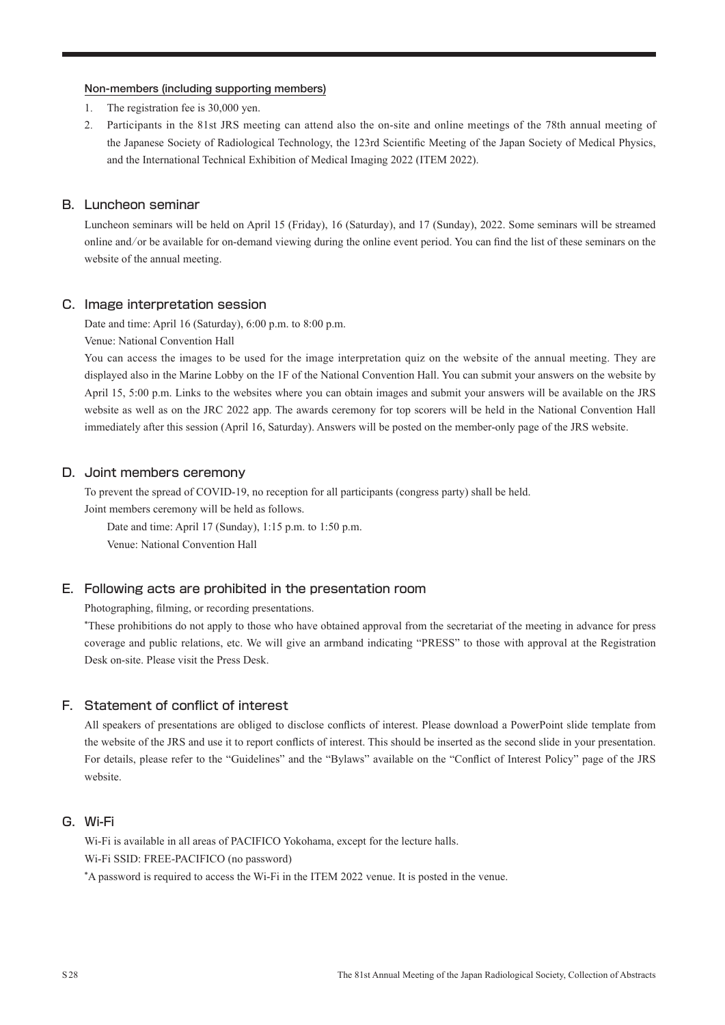#### Non-members (including supporting members)

- 1. The registration fee is 30,000 yen.
- 2. Participants in the 81st JRS meeting can attend also the on-site and online meetings of the 78th annual meeting of the Japanese Society of Radiological Technology, the 123rd Scientific Meeting of the Japan Society of Medical Physics, and the International Technical Exhibition of Medical Imaging 2022 (ITEM 2022).

## B. Luncheon seminar

Luncheon seminars will be held on April 15 (Friday), 16 (Saturday), and 17 (Sunday), 2022. Some seminars will be streamed online and/or be available for on-demand viewing during the online event period. You can find the list of these seminars on the website of the annual meeting.

#### C. Image interpretation session

Date and time: April 16 (Saturday), 6:00 p.m. to 8:00 p.m.

Venue: National Convention Hall

You can access the images to be used for the image interpretation quiz on the website of the annual meeting. They are displayed also in the Marine Lobby on the 1F of the National Convention Hall. You can submit your answers on the website by April 15, 5:00 p.m. Links to the websites where you can obtain images and submit your answers will be available on the JRS website as well as on the JRC 2022 app. The awards ceremony for top scorers will be held in the National Convention Hall immediately after this session (April 16, Saturday). Answers will be posted on the member-only page of the JRS website.

# D. Joint members ceremony

To prevent the spread of COVID-19, no reception for all participants (congress party) shall be held.

Joint members ceremony will be held as follows.

Date and time: April 17 (Sunday), 1:15 p.m. to 1:50 p.m. Venue: National Convention Hall

#### E. Following acts are prohibited in the presentation room

Photographing, filming, or recording presentations.

\*These prohibitions do not apply to those who have obtained approval from the secretariat of the meeting in advance for press coverage and public relations, etc. We will give an armband indicating "PRESS" to those with approval at the Registration Desk on-site. Please visit the Press Desk.

### F. Statement of conflict of interest

All speakers of presentations are obliged to disclose conflicts of interest. Please download a PowerPoint slide template from the website of the JRS and use it to report conflicts of interest. This should be inserted as the second slide in your presentation. For details, please refer to the "Guidelines" and the "Bylaws" available on the "Conflict of Interest Policy" page of the JRS website.

### G. Wi-Fi

Wi-Fi is available in all areas of PACIFICO Yokohama, except for the lecture halls. Wi-Fi SSID: FREE-PACIFICO (no password)

\*A password is required to access the Wi-Fi in the ITEM 2022 venue. It is posted in the venue.